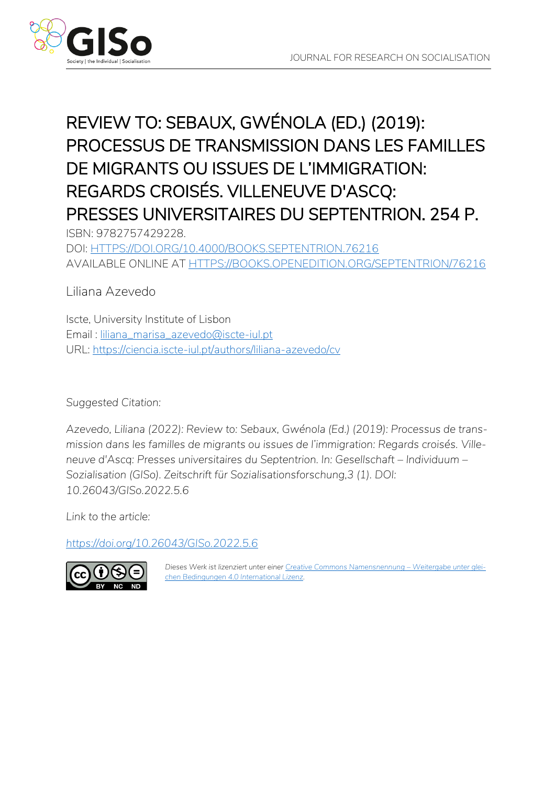

# REVIEW TO: SEBAUX, GWÉNOLA (ED.) (2019): PROCESSUS DE TRANSMISSION DANS LES FAMILLES DE MIGRANTS OU ISSUES DE L'IMMIGRATION: REGARDS CROISÉS. VILLENEUVE D'ASCQ: PRESSES UNIVERSITAIRES DU SEPTENTRION. 254 P.

ISBN: 9782757429228. DOI: [HTTPS://DOI.ORG/10.4000/BOOKS.SEPTENTRION.76216](https://doi.org/10.4000/books.septentrion.76216) AVAILABLE ONLINE AT [HTTPS://BOOKS.OPENEDITION.ORG/SEPTENTRION/76216](https://books.openedition.org/septentrion/76216)

Liliana Azevedo

Iscte, University Institute of Lisbon Email : [liliana\\_marisa\\_azevedo@iscte-iul.pt](mailto:liliana_marisa_azevedo@iscte-iul.pt) URL:<https://ciencia.iscte-iul.pt/authors/liliana-azevedo/cv>

*Suggested Citation:*

*Azevedo, Liliana (2022): Review to: Sebaux, Gwénola (Ed.) (2019): Processus de transmission dans les familles de migrants ou issues de l'immigration: Regards croisés. Villeneuve d'Ascq: Presses universitaires du Septentrion. In: Gesellschaft – Individuum – Sozialisation (GISo). Zeitschrift für Sozialisationsforschung,3 (1). DOI: 10.26043/GISo.2022.5.6*

*Link to the article:*

*<https://doi.org/10.26043/GISo.2022.5.6>*



Dieses Werk ist lizenziert unter einer [Creative Commons Namensnennung](https://creativecommons.org/licenses/by-nc-nd/4.0/deed.de) - Weitergabe unter glei*[chen Bedingungen 4.0 International Lizenz.](https://creativecommons.org/licenses/by-nc-nd/4.0/deed.de)*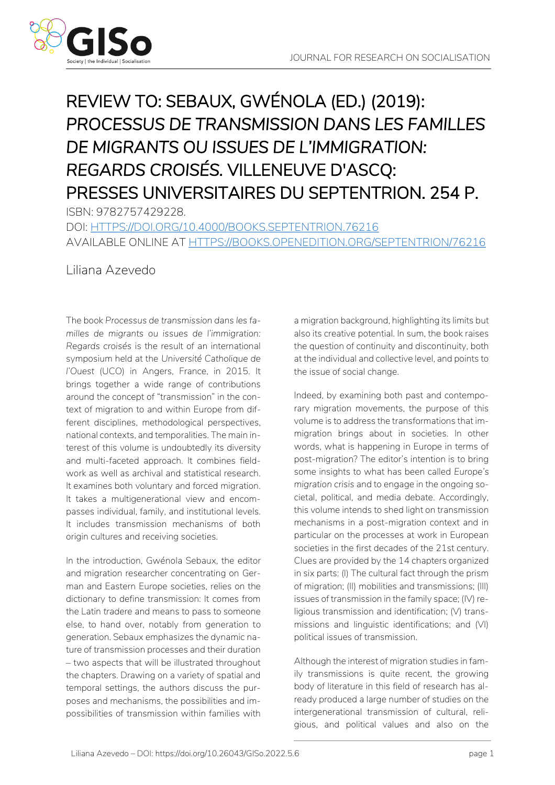

# REVIEW TO: SEBAUX, GWÉNOLA (ED.) (2019): *PROCESSUS DE TRANSMISSION DANS LES FAMILLES DE MIGRANTS OU ISSUES DE L'IMMIGRATION: REGARDS CROISÉS.* VILLENEUVE D'ASCQ: PRESSES UNIVERSITAIRES DU SEPTENTRION. 254 P.

ISBN: 9782757429228. DOI: [HTTPS://DOI.ORG/10.4000/BOOKS.SEPTENTRION.76216](https://doi.org/10.4000/books.septentrion.76216) AVAILABLE ONLINE AT [HTTPS://BOOKS.OPENEDITION.ORG/SEPTENTRION/76216](https://books.openedition.org/septentrion/76216)

Liliana Azevedo

The book *Processus de transmission dans les familles de migrants ou issues de l'immigration: Regards croisés* is the result of an international symposium held at the *Université Catholique de l'Ouest* (UCO) in Angers, France, in 2015. It brings together a wide range of contributions around the concept of "transmission" in the context of migration to and within Europe from different disciplines, methodological perspectives, national contexts, and temporalities. The main interest of this volume is undoubtedly its diversity and multi-faceted approach. It combines fieldwork as well as archival and statistical research. It examines both voluntary and forced migration. It takes a multigenerational view and encompasses individual, family, and institutional levels. It includes transmission mechanisms of both origin cultures and receiving societies.

In the introduction, Gwénola Sebaux, the editor and migration researcher concentrating on German and Eastern Europe societies, relies on the dictionary to define transmission: It comes from the Latin *tradere* and means to pass to someone else, to hand over, notably from generation to generation. Sebaux emphasizes the dynamic nature of transmission processes and their duration – two aspects that will be illustrated throughout the chapters. Drawing on a variety of spatial and temporal settings, the authors discuss the purposes and mechanisms, the possibilities and impossibilities of transmission within families with a migration background, highlighting its limits but also its creative potential. In sum, the book raises the question of continuity and discontinuity, both at the individual and collective level, and points to the issue of social change.

Indeed, by examining both past and contemporary migration movements, the purpose of this volume is to address the transformations that immigration brings about in societies. In other words, what is happening in Europe in terms of post-migration? The editor's intention is to bring some insights to what has been called *Europe's migration crisis* and to engage in the ongoing societal, political, and media debate. Accordingly, this volume intends to shed light on transmission mechanisms in a post-migration context and in particular on the processes at work in European societies in the first decades of the 21st century. Clues are provided by the 14 chapters organized in six parts: (I) The cultural fact through the prism of migration; (II) mobilities and transmissions; (III) issues of transmission in the family space; (IV) religious transmission and identification; (V) transmissions and linguistic identifications; and (VI) political issues of transmission.

Although the interest of migration studies in family transmissions is quite recent, the growing body of literature in this field of research has already produced a large number of studies on the intergenerational transmission of cultural, religious, and political values and also on the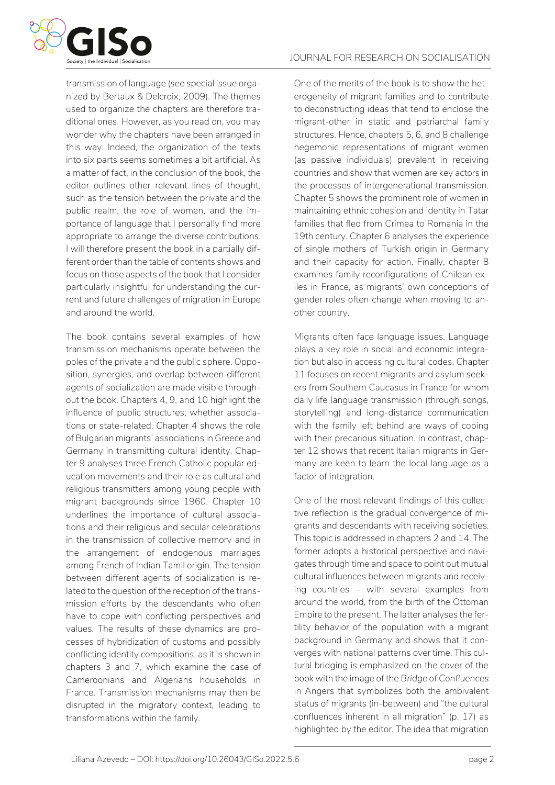

transmission of language (see special issue organized by Bertaux & Delcroix, 2009). The themes used to organize the chapters are therefore traditional ones. However, as you read on, you may wonder why the chapters have been arranged in this way. Indeed, the organization of the texts into six parts seems sometimes a bit artificial. As a matter of fact, in the conclusion of the book, the editor outlines other relevant lines of thought, such as the tension between the private and the public realm, the role of women, and the importance of language that I personally find more appropriate to arrange the diverse contributions. I will therefore present the book in a partially different order than the table of contents shows and focus on those aspects of the book that I consider particularly insightful for understanding the current and future challenges of migration in Europe and around the world.

The book contains several examples of how transmission mechanisms operate between the poles of the private and the public sphere. Opposition, synergies, and overlap between different agents of socialization are made visible throughout the book. Chapters 4, 9, and 10 highlight the influence of public structures, whether associations or state-related. Chapter 4 shows the role of Bulgarian migrants' associations in Greece and Germany in transmitting cultural identity. Chapter 9 analyses three French Catholic popular education movements and their role as cultural and religious transmitters among young people with migrant backgrounds since 1960. Chapter 10 underlines the importance of cultural associations and their religious and secular celebrations in the transmission of collective memory and in the arrangement of endogenous marriages among French of Indian Tamil origin. The tension between different agents of socialization is related to the question of the reception of the transmission efforts by the descendants who often have to cope with conflicting perspectives and values. The results of these dynamics are processes of hybridization of customs and possibly conflicting identity compositions, as it is shown in chapters 3 and 7, which examine the case of Cameroonians and Algerians households in France. Transmission mechanisms may then be disrupted in the migratory context, leading to transformations within the family.

One of the merits of the book is to show the heterogeneity of migrant families and to contribute to deconstructing ideas that tend to enclose the migrant-other in static and patriarchal family structures. Hence, chapters 5, 6, and 8 challenge hegemonic representations of migrant women (as passive individuals) prevalent in receiving countries and show that women are key actors in the processes of intergenerational transmission. Chapter 5 shows the prominent role of women in maintaining ethnic cohesion and identity in Tatar families that fled from Crimea to Romania in the 19th century. Chapter 6 analyses the experience of single mothers of Turkish origin in Germany and their capacity for action. Finally, chapter 8 examines family reconfigurations of Chilean exiles in France, as migrants' own conceptions of gender roles often change when moving to another country.

Migrants often face language issues. Language plays a key role in social and economic integration but also in accessing cultural codes. Chapter 11 focuses on recent migrants and asylum seekers from Southern Caucasus in France for whom daily life language transmission (through songs, storytelling) and long-distance communication with the family left behind are ways of coping with their precarious situation. In contrast, chapter 12 shows that recent Italian migrants in Germany are keen to learn the local language as a factor of integration.

One of the most relevant findings of this collective reflection is the gradual convergence of migrants and descendants with receiving societies. This topic is addressed in chapters 2 and 14. The former adopts a historical perspective and navigates through time and space to point out mutual cultural influences between migrants and receiving countries – with several examples from around the world, from the birth of the Ottoman Empire to the present. The latter analyses the fertility behavior of the population with a migrant background in Germany and shows that it converges with national patterns over time. This cultural bridging is emphasized on the cover of the book with the image of the *Bridge of Confluences* in Angers that symbolizes both the ambivalent status of migrants (in-between) and "the cultural confluences inherent in all migration" (p. 17) as highlighted by the editor. The idea that migration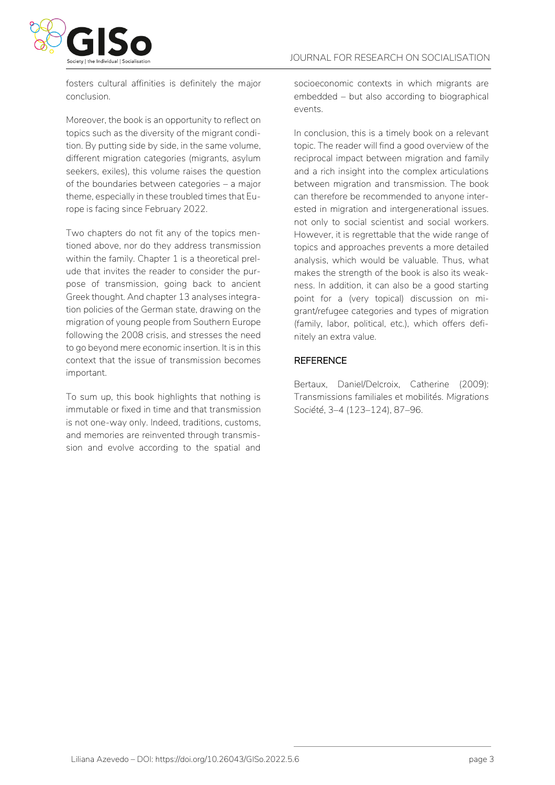

fosters cultural affinities is definitely the major conclusion.

Moreover, the book is an opportunity to reflect on topics such as the diversity of the migrant condition. By putting side by side, in the same volume, different migration categories (migrants, asylum seekers, exiles), this volume raises the question of the boundaries between categories – a major theme, especially in these troubled times that Europe is facing since February 2022.

Two chapters do not fit any of the topics mentioned above, nor do they address transmission within the family. Chapter 1 is a theoretical prelude that invites the reader to consider the purpose of transmission, going back to ancient Greek thought. And chapter 13 analyses integration policies of the German state, drawing on the migration of young people from Southern Europe following the 2008 crisis, and stresses the need to go beyond mere economic insertion. It is in this context that the issue of transmission becomes important.

To sum up, this book highlights that nothing is immutable or fixed in time and that transmission is not one-way only. Indeed, traditions, customs, and memories are reinvented through transmission and evolve according to the spatial and socioeconomic contexts in which migrants are embedded – but also according to biographical events.

In conclusion, this is a timely book on a relevant topic. The reader will find a good overview of the reciprocal impact between migration and family and a rich insight into the complex articulations between migration and transmission. The book can therefore be recommended to anyone interested in migration and intergenerational issues. not only to social scientist and social workers. However, it is regrettable that the wide range of topics and approaches prevents a more detailed analysis, which would be valuable. Thus, what makes the strength of the book is also its weakness. In addition, it can also be a good starting point for a (very topical) discussion on migrant/refugee categories and types of migration (family, labor, political, etc.), which offers definitely an extra value.

### **REFERENCE**

Bertaux, Daniel/Delcroix, Catherine (2009): Transmissions familiales et mobilités. *Migrations Société*, 3–4 (123–124), 87–96.